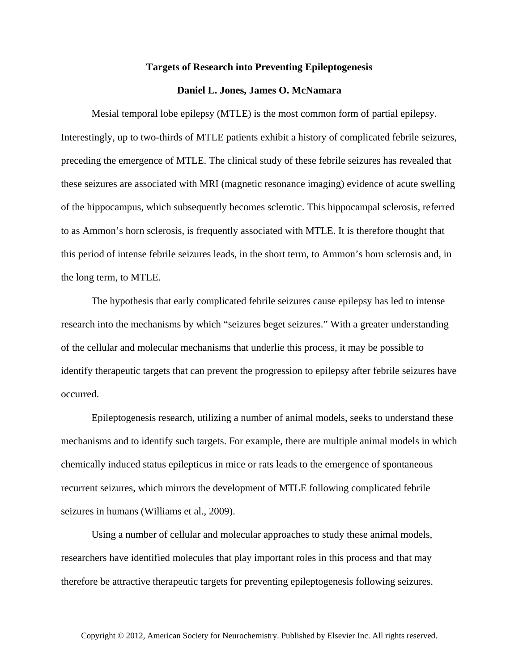## **Targets of Research into Preventing Epileptogenesis**

## **Daniel L. Jones, James O. McNamara**

Mesial temporal lobe epilepsy (MTLE) is the most common form of partial epilepsy. Interestingly, up to two-thirds of MTLE patients exhibit a history of complicated febrile seizures, preceding the emergence of MTLE. The clinical study of these febrile seizures has revealed that these seizures are associated with MRI (magnetic resonance imaging) evidence of acute swelling of the hippocampus, which subsequently becomes sclerotic. This hippocampal sclerosis, referred to as Ammon's horn sclerosis, is frequently associated with MTLE. It is therefore thought that this period of intense febrile seizures leads, in the short term, to Ammon's horn sclerosis and, in the long term, to MTLE.

The hypothesis that early complicated febrile seizures cause epilepsy has led to intense research into the mechanisms by which "seizures beget seizures." With a greater understanding of the cellular and molecular mechanisms that underlie this process, it may be possible to identify therapeutic targets that can prevent the progression to epilepsy after febrile seizures have occurred.

Epileptogenesis research, utilizing a number of animal models, seeks to understand these mechanisms and to identify such targets. For example, there are multiple animal models in which chemically induced status epilepticus in mice or rats leads to the emergence of spontaneous recurrent seizures, which mirrors the development of MTLE following complicated febrile seizures in humans (Williams et al., 2009).

Using a number of cellular and molecular approaches to study these animal models, researchers have identified molecules that play important roles in this process and that may therefore be attractive therapeutic targets for preventing epileptogenesis following seizures.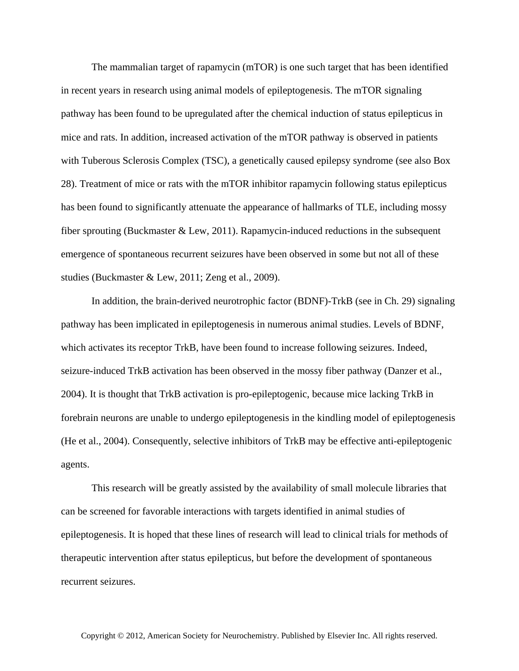The mammalian target of rapamycin (mTOR) is one such target that has been identified in recent years in research using animal models of epileptogenesis. The mTOR signaling pathway has been found to be upregulated after the chemical induction of status epilepticus in mice and rats. In addition, increased activation of the mTOR pathway is observed in patients with Tuberous Sclerosis Complex (TSC), a genetically caused epilepsy syndrome (see also Box 28). Treatment of mice or rats with the mTOR inhibitor rapamycin following status epilepticus has been found to significantly attenuate the appearance of hallmarks of TLE, including mossy fiber sprouting (Buckmaster & Lew, 2011). Rapamycin-induced reductions in the subsequent emergence of spontaneous recurrent seizures have been observed in some but not all of these studies (Buckmaster & Lew, 2011; Zeng et al., 2009).

In addition, the brain-derived neurotrophic factor (BDNF)-TrkB (see in Ch. 29) signaling pathway has been implicated in epileptogenesis in numerous animal studies. Levels of BDNF, which activates its receptor TrkB, have been found to increase following seizures. Indeed, seizure-induced TrkB activation has been observed in the mossy fiber pathway (Danzer et al., 2004). It is thought that TrkB activation is pro-epileptogenic, because mice lacking TrkB in forebrain neurons are unable to undergo epileptogenesis in the kindling model of epileptogenesis (He et al., 2004). Consequently, selective inhibitors of TrkB may be effective anti-epileptogenic agents.

This research will be greatly assisted by the availability of small molecule libraries that can be screened for favorable interactions with targets identified in animal studies of epileptogenesis. It is hoped that these lines of research will lead to clinical trials for methods of therapeutic intervention after status epilepticus, but before the development of spontaneous recurrent seizures.